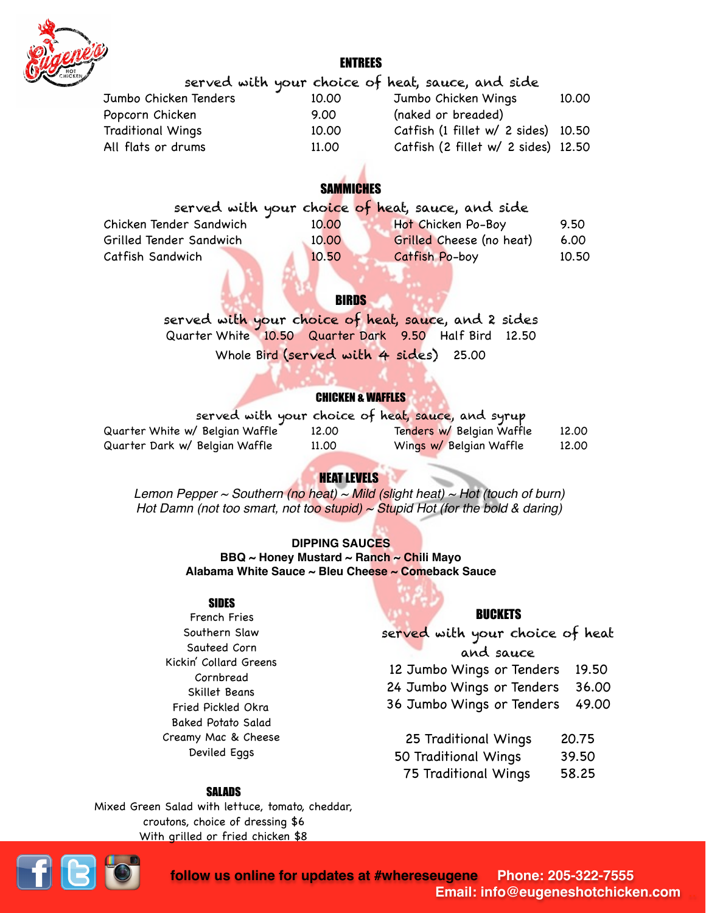

### ENTREES

|                          |       | served with your choice of heat, sauce, and side |       |
|--------------------------|-------|--------------------------------------------------|-------|
| Jumbo Chicken Tenders    | 10.00 | Jumbo Chicken Wings                              | 10.00 |
| Popcorn Chicken          | 9.00  | (naked or breaded)                               |       |
| <b>Traditional Wings</b> | 10.00 | Catfish (1 fillet w/ 2 sides) 10.50              |       |
| All flats or drums       | 11.00 | Catfish (2 fillet w/ 2 sides) 12.50              |       |
|                          |       |                                                  |       |

# **SAMMICHES**

|                         |       | served with your choice of heat, sauce, and side |       |
|-------------------------|-------|--------------------------------------------------|-------|
| Chicken Tender Sandwich | 10.00 | Hot Chicken Po-Boy                               | 9.50  |
| Grilled Tender Sandwich | 10.00 | Grilled Cheese (no heat)                         | 6.00  |
| Catfish Sandwich        | 10.50 | Catfish Po-boy                                   | 10.50 |

# **BIRDS**

served with your choice of heat, sauce, and 2 sides Quarter White 10.50 Quarter Dark 9.50 Half Bird 12.50 Whole Bird (served with 4 sides) 25.00

### CHICKEN & WAFFLES

|                                 |       | served with your choice of heat, sauce, and syrup |       |
|---------------------------------|-------|---------------------------------------------------|-------|
| Quarter White w/ Belgian Waffle | 12.00 | Tenders w/ Belgian Waffle                         | 12.00 |
| Quarter Dark w/ Belgian Waffle  | 11.00 | Wings w/ Belgian Waffle                           | 12.00 |

# HEAT LEVELS

*Lemon Pepper ~ Southern (no heat) ~ Mild (slight heat) ~ Hot (touch of burn) Hot Damn (not too smart, not too stupid) ~ Stupid Hot (for the bold & daring)*

### **DIPPING SAUCES**

**BBQ ~ Honey Mustard ~ Ranch ~ Chili Mayo Alabama White Sauce ~ Bleu Cheese ~ Comeback Sauce**

#### SIDES

French Fries Southern Slaw Sauteed Corn Kickin' Collard Greens Cornbread Skillet Beans Fried Pickled Okra Baked Potato Salad Creamy Mac & Cheese Deviled Eggs

### BUCKETS

served with your choice of heat and sauce 12 Jumbo Wings or Tenders 19.50 24 Jumbo Wings or Tenders 36.00 36 Jumbo Wings or Tenders 49.00

- 25 Traditional Wings 20.75
- 50 Traditional Wings 39.50
- 75 Traditional Wings 58.25

#### SALADS

Mixed Green Salad with lettuce, tomato, cheddar, croutons, choice of dressing \$6 With grilled or fried chicken \$8